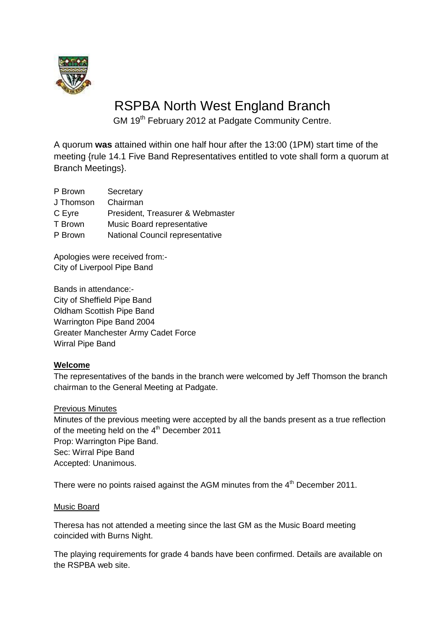

# RSPBA North West England Branch

GM 19<sup>th</sup> February 2012 at Padgate Community Centre.

A quorum **was** attained within one half hour after the 13:00 (1PM) start time of the meeting {rule 14.1 Five Band Representatives entitled to vote shall form a quorum at Branch Meetings}.

| P Brown   | Secretary                        |
|-----------|----------------------------------|
| J Thomson | Chairman                         |
| C Eyre    | President, Treasurer & Webmaster |
| T Brown   | Music Board representative       |
| P Brown   | National Council representative  |
|           |                                  |

Apologies were received from:- City of Liverpool Pipe Band

Bands in attendance:- City of Sheffield Pipe Band Oldham Scottish Pipe Band Warrington Pipe Band 2004 Greater Manchester Army Cadet Force Wirral Pipe Band

# **Welcome**

The representatives of the bands in the branch were welcomed by Jeff Thomson the branch chairman to the General Meeting at Padgate.

#### Previous Minutes

Minutes of the previous meeting were accepted by all the bands present as a true reflection of the meeting held on the  $4<sup>th</sup>$  December 2011 Prop: Warrington Pipe Band. Sec: Wirral Pipe Band Accepted: Unanimous.

There were no points raised against the AGM minutes from the 4<sup>th</sup> December 2011.

#### Music Board

Theresa has not attended a meeting since the last GM as the Music Board meeting coincided with Burns Night.

The playing requirements for grade 4 bands have been confirmed. Details are available on the RSPBA web site.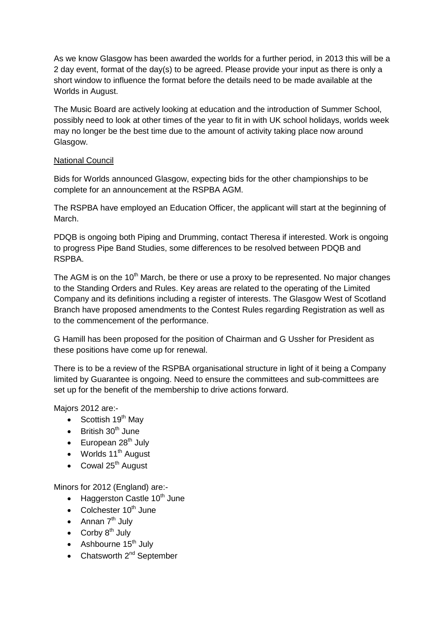As we know Glasgow has been awarded the worlds for a further period, in 2013 this will be a 2 day event, format of the day(s) to be agreed. Please provide your input as there is only a short window to influence the format before the details need to be made available at the Worlds in August.

The Music Board are actively looking at education and the introduction of Summer School, possibly need to look at other times of the year to fit in with UK school holidays, worlds week may no longer be the best time due to the amount of activity taking place now around Glasgow.

#### National Council

Bids for Worlds announced Glasgow, expecting bids for the other championships to be complete for an announcement at the RSPBA AGM.

The RSPBA have employed an Education Officer, the applicant will start at the beginning of March.

PDQB is ongoing both Piping and Drumming, contact Theresa if interested. Work is ongoing to progress Pipe Band Studies, some differences to be resolved between PDQB and RSPBA.

The AGM is on the  $10<sup>th</sup>$  March, be there or use a proxy to be represented. No major changes to the Standing Orders and Rules. Key areas are related to the operating of the Limited Company and its definitions including a register of interests. The Glasgow West of Scotland Branch have proposed amendments to the Contest Rules regarding Registration as well as to the commencement of the performance.

G Hamill has been proposed for the position of Chairman and G Ussher for President as these positions have come up for renewal.

There is to be a review of the RSPBA organisational structure in light of it being a Company limited by Guarantee is ongoing. Need to ensure the committees and sub-committees are set up for the benefit of the membership to drive actions forward.

Majors 2012 are:-

- Scottish  $19<sup>th</sup>$  May
- $\bullet$  British 30<sup>th</sup> June
- $\bullet$  European 28<sup>th</sup> July
- $\bullet$  Worlds 11<sup>th</sup> August
- $\bullet$  Cowal 25<sup>th</sup> August

Minors for 2012 (England) are:-

- $\bullet$  Haggerston Castle 10<sup>th</sup> June
- Colchester  $10<sup>th</sup>$  June
- Annan  $7<sup>th</sup>$  July
- Corby  $8^{th}$  July
- $\bullet$  Ashbourne 15<sup>th</sup> July
- Chatsworth  $2^{nd}$  September